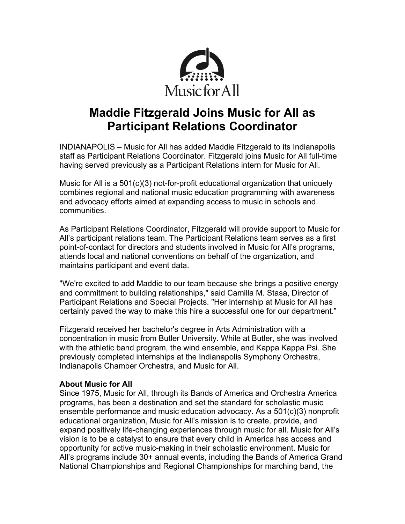

## **Maddie Fitzgerald Joins Music for All as Participant Relations Coordinator**

INDIANAPOLIS – Music for All has added Maddie Fitzgerald to its Indianapolis staff as Participant Relations Coordinator. Fitzgerald joins Music for All full-time having served previously as a Participant Relations intern for Music for All.

Music for All is a 501(c)(3) not-for-profit educational organization that uniquely combines regional and national music education programming with awareness and advocacy efforts aimed at expanding access to music in schools and communities.

As Participant Relations Coordinator, Fitzgerald will provide support to Music for All's participant relations team. The Participant Relations team serves as a first point-of-contact for directors and students involved in Music for All's programs, attends local and national conventions on behalf of the organization, and maintains participant and event data.

"We're excited to add Maddie to our team because she brings a positive energy and commitment to building relationships," said Camilla M. Stasa, Director of Participant Relations and Special Projects. "Her internship at Music for All has certainly paved the way to make this hire a successful one for our department."

Fitzgerald received her bachelor's degree in Arts Administration with a concentration in music from Butler University. While at Butler, she was involved with the athletic band program, the wind ensemble, and Kappa Kappa Psi. She previously completed internships at the Indianapolis Symphony Orchestra, Indianapolis Chamber Orchestra, and Music for All.

## **About Music for All**

Since 1975, Music for All, through its Bands of America and Orchestra America programs, has been a destination and set the standard for scholastic music ensemble performance and music education advocacy. As a 501(c)(3) nonprofit educational organization, Music for All's mission is to create, provide, and expand positively life-changing experiences through music for all. Music for All's vision is to be a catalyst to ensure that every child in America has access and opportunity for active music-making in their scholastic environment. Music for All's programs include 30+ annual events, including the Bands of America Grand National Championships and Regional Championships for marching band, the